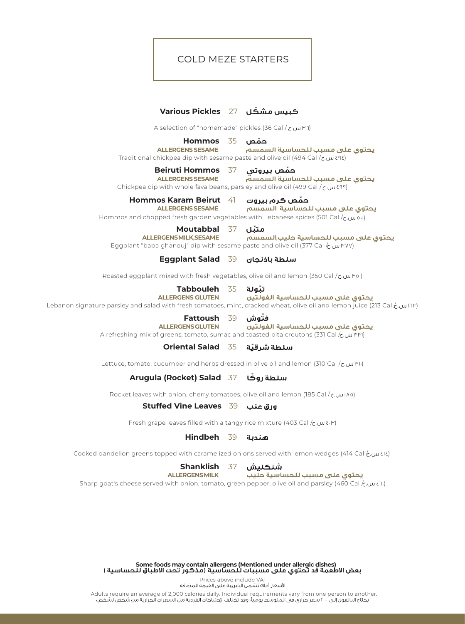## COLD MEZE STARTERS

## **Various Pickles** 27 **ّ كبيس مشكل**

A selection of "homemade" pickles (36 Cal / תש.

**Hommos ALLERGENS SESAME**

35 **ّحمص**

Traditional chickpea dip with sesame paste and olive oil (494 Cal / $\zeta$   $\omega$   $\epsilon$ 48) **السمسم يحتوي على مسبب للحساسية**

> **Beiruti Hommos** 37 **ALLERGENS SESAME**

حمّص بيروتي

**السمسم يحتوي على مسبب للحساسية**

Chickpea dip with whole fava beans, parsley and olive oil (499 Cal /  $_{c}$ , $_{w}$   $_{8}$ 99)

**Hommos Karam Beirut** 41

**ALLERGENS SESAME السمسم يحتوي على مسبب للحساسية** حمّص کرم بیروت

Hommos and chopped fresh garden vegetables with Lebanese spices (501 Cal /  $_{c}$ . الله من الله ع

**Moutabbal** 37 **ALLERGENSMILK,SESAME**

Eggplant "baba ghanouj" dip with sesame paste and olive oil (377 Cal / س.ح/ Eggplant **حليب**,**السمسم يحتوي على مسبب للحساسية ّمتبل**

**Eggplant Salad** 39

Roasted eggplant mixed with fresh vegetables, olive oil and lemon (350 Cal /  $_{c}$ , mo)

**Tabbouleh** 35 **ALLERGENS GLUTEN**

**ّ الغولتين يحتوي على مسبب للحساسية**

Lebanon signature parsley and salad with fresh tomatoes, mint, cracked wheat, olive oil and lemon juice (213 Cal  $f(u)$ 114)

فتّوش **Fattoush** 39

**ّ ALLERGENSGLUTEN الغولتين يحتوي على مسبب للحساسية**

A refreshing mix of greens, tomato, sumac and toasted pita croutons (331 Cal / 331)

**Oriental Salad** 35 سلطة شرقية **ّ**

Lettuce, tomato, cucumber and herbs dressed in olive oil and lemon (310 Cal / إس بن السين)

**Arugula (Rocket) Salad** 37 **ّ**

Rocket leaves with onion, cherry tomatoes, olive oil and lemon (185 Cal / 185)

**Stuffed Vine Leaves** 39

Fresh grape leaves filled with a tangy rice mixture (403 Cal  $\ell$ .  $\mu$   $\ell$ . $\mu$ )

## **Hindbeh** 39

Cooked dandelion greens topped with caramelized onions served with lemon wedges (414 Cal  $f(x)$ ,  $\mu(x)$ 

**Shanklish** 37 **ALLERGENSMILK**

شنكليش

**حليب يحتوي على مسبب للحساسية**

Sharp goat's cheese served with onion, tomato, green pepper, olive oil and parsley (460 Cal  $_{\mathcal{K}}$  460)

**Some foods may contain allergens (Mentioned under allergic dishes) بعض الاطعمة قد تحتوي على مسببات للحساسية (مذكور تحت الاطباق للحساسية )**

Prices above include VAT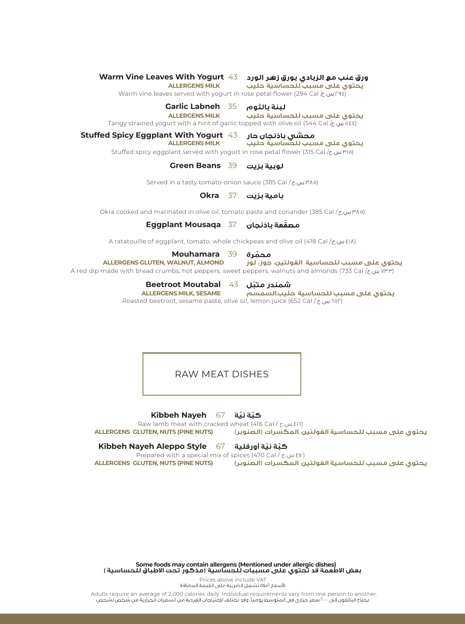**Warm Vine Leaves With Yogurt** 43

**ALLERGENS MILK** 

Warm vine leaves served with yogurt in rose petal flower (294 Cal  $k \cdot \omega$  ras) **يحتوي على مسبب للحساسية**

**Garlic Labneh** 35

Tangy strained yogurt with a hint of garlic topped with olive oil (544 Cal  $\ell$   $\omega$  o  $\epsilon$  ) **ALLERGENS MILK حليب يحتوي على مسبب للحساسية**

**Stuffed Spicy Eggplant With Yogurt** 43

محشى باذنجان حار

Stuffed spicy eggplant served with yogurt in rose petal flower (315 Cal / 315) **يحتوي على مسبب للحساسية حليب MILK ALLERGENS**

**Green Beans** 39

Served in a tasty tomato-onion sauce (385 Cal / 385)

**Okra** 37

Okra cooked and marinated in olive oil, tomato paste and coriander (385 Cal / ٣٨٥)

**Eggplant Mousaqa** 37 **ّ**

A ratatouille of eggplant, tomato, whole chickpeas and olive oil (418 Cal / $\epsilon$ . $\mu$   $\epsilon$ IA)

#### **Mouhamara** 39 **ّ**

A red dip made with bread crumbs, hot peppers, sweet peppers, walnuts and almonds (733 Cal / 733) **ALLERGENS GLUTEN, WALNUT, ALMOND يحتوي على مسبب للحساسية**

**Beetroot Moutabal** 43

**ّ**

Roasted beetroot, sesame paste, olive oil, lemon juice (652 Cal / 652) **يحتوي على مسبب للحساسية حليب**,**السمسم SESAME ,MILK ALLERGENS**

RAW MEAT DISHES

**Kibbeh Nayeh** 67 **ّكب ّ ة نية**

Raw lamb meat with cracked wheat (416 Cal / ح.س.ج / Raw lamb meat with cracked wheat (416 Cal<br>ن المكسرات (الصنوبر) **يحتوي على مسبب للحساسية الغولتين** ,**المكسرات (الصنوبر) (NUTS PINE (NUTS ,GLUTEN ALLERGENS**

#### **Kibbeh Nayeh Aleppo Style** 67 **ّكب ّ ة نية أورفلية**

Prepared with a special mix of spices (470 Cal / د.س.ع / Prepared with a special mix of spices<br>بن المكسرات (الصنوير) **يحتوي على مسبب للحساسية الغولتين** ,**المكسرات (الصنوبر) (NUTS PINE (NUTS ,GLUTEN ALLERGENS**

**Some foods may contain allergens (Mentioned under allergic dishes) بعض الاطعمة قد تحتوي على مسببات للحساسية (مذكور تحت الاطباق للحساسية )**

Prices above include VAT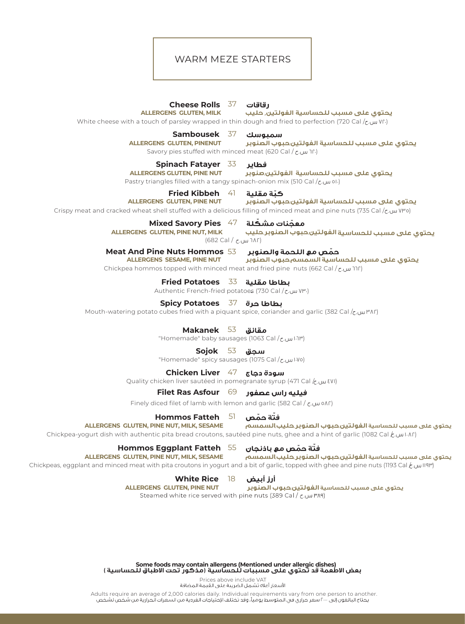## WARM MEZE STARTERS

#### **Cheese Rolls** 37 رقاقات

**ALLERGENS GLUTEN, MILK**

 **الغولتين**, **حليب يحتوي على مسبب للحساسية**

White cheese with a touch of parsley wrapped in thin dough and fried to perfection (720 Cal /  $_{\text{C}}$ , Wr.)

## **Sambousek** 37

Savory pies stuffed with minced meat (620 Cal / 620) **ALLERGENS GLUTEN, PINENUT الغولتين**,**حبوب الصنوبر يحتوي على مسبب للحساسية**

## **Spinach Fatayer** 33

**يحتوي على مسبب للحساسية الغولتين**,**صنوبر NUT PINE ,GLUTEN ALLERGENS**

فطاير

كتة مقلىة

سمبوسك

Pastry triangles filled with a tangy spinach-onion mix (510 Cal / ειωνιοι)

## **Fried Kibbeh** 41

Crispy meat and cracked wheat shell stuffed with a delicious filling of minced meat and pine nuts (735 Cal / 735) **ALLERGENS GLUTEN, PINE NUT الغولتين**,**حبوب الصنوبر يحتوي على مسبب للحساسية**

**Mixed Savory Pies** 47

معجّنات مشكّلة **ALLERGENS GLUTEN, PINE NUT, MILK**

 (682 Cal / 682)  **الغولتين**,**حبوب الصنوبر**,**حليب يحتوي على مسبب للحساسية**

## **Meat And Pine Nuts Hommos ّ** 53

**ALLERGENS SESAME, PINE NUT السمسم**,**حبوب الصنوبر يحتوي على مسبب للحساسية**

Chickpea hommos topped with minced meat and fried pine nuts (662 Cal / $\epsilon$ רור س.

**Fried Potatoes** 33

# Authentic French-fried potatoes (730 Cal /ع.س.<br>**بطاطا حرة <sup>37</sup>7 Spicy Potatoes**

Mouth-watering potato cubes fried with a piquant spice, coriander and garlic (382 Cal /ح. ٣٨٢)

**Makanek** 53

"Homemade" baby sausages (1063 Cal /ابادا س.

## **Sojok** 53

**Meat And Pine Nuts Hommos** "Homemade" spicy sausages (1075 Cal / 1075)

# Chickpea hommos topped with minced meat and fried pine nuts (662 Cal / 662) **Chicken Liver** 47

لاس.خ Quality chicken liver sautéed in pomegranate syrup (471 Cal <mark>/</mark> س.خ

## White cheese with a touch of parsley wrapped in thin dough and fried to perfection (720 Cal / 720) **Filet Ras Asfour** 69

Finely diced filet of lamb with lemon and garlic (582 Cal  $/$   $\epsilon$ .  $\mu$  on  $\Omega$ )

### **Sambousek Hommos Fatteh** 51

Savory pies stuffed with minced meat (620 Cal / 620) **الغولتين**,**حبوب الصنوبر**,**حليب**,**السمسم يحتوي على مسبب للحساسية**

r Anickpea-yogurt dish with authentic pita bread croutons, sautéed pine nuts, ghee and a hint of garlic (1082 Cal<br>استریکی

## $\blacksquare$ eتة حمّص مع باذنجان  $55-$  Hommos Eggplant Fatteh

## **ALLERGENS GLUTEN, PINE NUT, MILK, SESAME**

(۱۱۹۳ س.غ Chickpeas, eggplant and minced meat with pita croutons in yogurt and a bit of garlic, topped with ghee and pine nuts <mark>(1193 Cal  $\ell$ </mark>

 $\text{M/L}_{\text{max}}$  meat shell studies filling of minicipal meat and pine nuts ( $\text{M/L}_{\text{max}}$ **White Rice 18** 

**يحتوي على مسبب للحساسية الغولتين**,**حبوب الصنوبر NUT PINE ,GLUTEN ALLERGENS**

**Michael Savory Pine Note: تحبوب الصلوبر<br>white rice served with pine nuts (389 Cal /**  $\epsilon$  **, wit** (682 Cal / 682)

**Some foods may contain allergens (Mentioned under allergic dishes) بعض الاطعمة قد تحتوي على مسببات للحساسية (مذكور تحت الاطباق للحساسية )**

Prices above include VAT

Adults require an average of 2,000 calories daily. Individual requirements vary from one person to another.<br>يحتاج البالغون إلى ٤٠٠ سعر حراري في المتوسط يومياً، وقد تختلف الإحتياجات الفردية من السعرات الحرارية من شخص لشخص

**ّ ّ**

**ALLERGENS GLUTEN, PINE NUT, MILK, SESAME**

فتة حمّص مع باذنجان

يحتوي على مسبب للحساسية ال**غولتين,حبوب الصنوبر,حليب,السمسم** 

**ّ**

**ّ**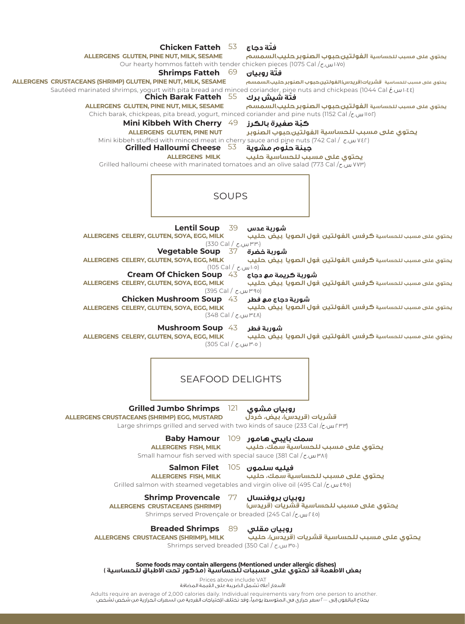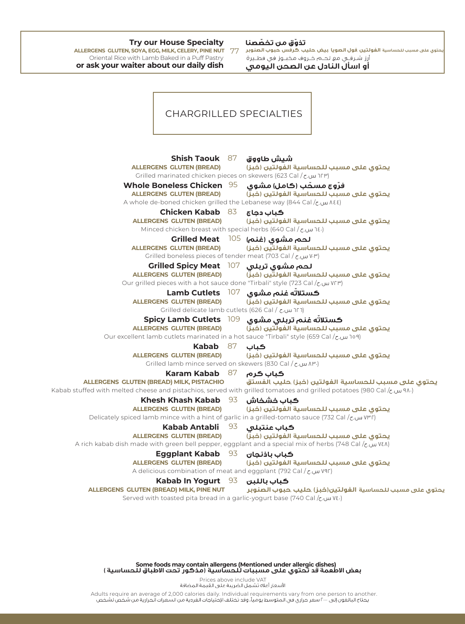## **Try our House Specialty**

Oriental Rice with Lamb Baked in a Puff Pastry **or ask your waiter about our daily dish**

## **ّ ّ**

الغولتين فول الصويا بيض حليب ,كرفس جبوب الصنوبر ALLERCENS GLUTEN, SOYA, EGG, MILK, CELERY, PINE NUT **يحتوي على مسبب للحساسية**

**أو اسأل النادل عن الصحن اليومي**

#### CHARGRILLED SPECIALTIES **Shish Taouk** 87 شيش طاووق **ALLERGENS GLUTEN (BREAD) يحتوي على مسبب للحساسية** Grilled marinated chicken pieces on skewers (623 Cal / מש.<br/>ס $\Gamma$  ו״) **Whole Boneless Chicken** 95 فرّوج مسحّب (ڪامل) مشوي **ALLERGENS GLUTEN (BREAD) يحتوي على مسبب للحساسية** A whole de-boned chicken grilled the Lebanese way (844 Cal / مس.ح/ Avhole de-boned chicken grilled the **Chicken Kabab** 83 كباب دجاج **ALLERGENS GLUTEN (BREAD) يحتوي على مسبب للحساسية** Minced chicken breast with special herbs (640 Cal / 31 M) **Grilled Meat** 105 **ALLERGENS GLUTEN (BREAD) يحتوي على مسبب للحساسية** Grilled boneless pieces of tender meat (703 Cal / 703) **Grilled Spicy Meat** 107 لحم مشوى تربلى **ALLERGENS GLUTEN (BREAD) يحتوي على مسبب للحساسية** Our grilled pieces with a hot sauce done "Tirbali" style (723 Cal /  $\zeta$  /  $\zeta$  /  $\zeta$  /  $\zeta$ ) **Lamb Cutlets** 107 **ّ ALLERGENS GLUTEN (BREAD) يحتوي على مسبب للحساسية** Grilled delicate lamb cutlets (626 Cal / 626) **Spicy Lamb Cutlets** 109 **ّ ALLERGENS GLUTEN (BREAD) يحتوي على مسبب للحساسية** Our excellent lamb cutlets marinated in a hot sauce "Tirbali" style (659 Cal / τω 109) **Kabab** 87 كباب **ALLERGENS GLUTEN (BREAD) يحتوي على مسبب للحساسية** Grilled lamb mince served on skewers (830 Cal / ج.س.م / ٣٠) **Karam Kabab** 87 کیاب کرم **ALLERGENS GLUTEN (BREAD) MILK, PISTACHIO يحتوي على مسبب للحساسية** Kabab stuffed with melted cheese and pistachios, served with grilled tomatoes and grilled potatoes (980 Cal / $\zeta$ w 41.) **Khesh Khash Kabab** 93 كباب خشخاش **ALLERGENS GLUTEN (BREAD) يحتوي على مسبب للحساسية** Delicately spiced lamb mince with a hint of garlic in a grilled-tomato sauce (732 Cal / των (ΨΓ) **Kabab Antabli** 93 كباب عنتبلى **ALLERGENS GLUTEN (BREAD) يحتوي على مسبب للحساسية** A rich kabab dish made with green bell pepper, eggplant and a special mix of herbs (748 Cal /ζων Vελ) **Eggplant Kabab** 93 كباب باذنجان **ALLERGENS GLUTEN (BREAD) يحتوي على مسبب للحساسية** A delicious combination of meat and eggplant (792 Cal / 792) **Kabab In Yogurt** 93 كباب باللبن **ALLERGENS GLUTEN (BREAD) MILK, PINE NUT يحتوي على مسبب للحساسية** Served with toasted pita bread in a garlic-yogurt base (740 Cal / ζ. ( Wε.)

**Some foods may contain allergens (Mentioned under allergic dishes) بعض الاطعمة قد تحتوي على مسببات للحساسية (مذكور تحت الاطباق للحساسية )**

Prices above include VAT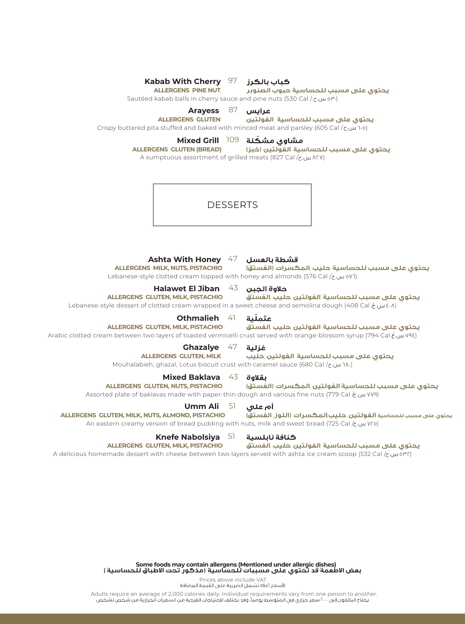| كباب بالكرز     [97   Kabab With Cherry<br><b>ALLERGENS PINE NUT</b><br>Sautéed kabab balls in cherry sauce and pine nuts (530 Cal / ε. ω ον.)                                                                                          | يحتوى على مسبب للحساسية حبوب الصنوبر                                            |
|-----------------------------------------------------------------------------------------------------------------------------------------------------------------------------------------------------------------------------------------|---------------------------------------------------------------------------------|
| Arayess 87<br><b>ALLERGENS GLUTEN</b><br>Crispy buttered pita stuffed and baked with minced meat and parsley (605 Cal /ح.س.ح)                                                                                                           | عرايس<br>يحتوى على مسبب للحساسية الفولتين                                       |
| <b>Mixed Grill</b><br>مشاوى مش <b>كلة   109</b><br>يحتوى على مسبب للحساسية الفولتين (خبز)<br><b>ALLERGENS GLUTEN (BREAD)</b><br>A sumptuous assortment of grilled meats (827 Cal / z. w ArV)                                            |                                                                                 |
| <b>DESSERTS</b>                                                                                                                                                                                                                         |                                                                                 |
| Ashta With Honey 47 العسل Ashta With Honey 47<br><b>ALLERGENS MILK, NUTS, PISTACHIO</b><br>Lebanese-style clotted cream topped with honey and almonds (576 Cal/ $\epsilon$ . $\alpha$ )                                                 | يحتوى على مسبب للحساسية حليب المكسرات (الفستق)                                  |
| Halawet El Jiban $43$ حلاوة الجبن<br>ALLERGENS GLUTEN, MILK, PISTACHIO<br>يحتوى على مسبب للحساسية الفولتين حليب الفستق<br>Lebanese-style dessert of clotted cream wrapped in a sweet cheese and semolina dough (408 Cal $k$ $\omega$ .) |                                                                                 |
| <b>Othmalieh</b><br><b>ALLERGENS GLUTEN, MILK, PISTACHIO</b><br>(٧٩٤ س.عُ Arabic clotted cream between two layers of toasted vermicelli crust served with orange-blossom syrup                                                          | عثملّية<br>41<br>يحتوى على مسبب للحساسية الفولتين حليب الفستق                   |
| <b>Ghazalye</b> $47$ غزلية<br><b>ALLERGENS GLUTEN, MILK</b><br>Mouhalabieh, ghazal, Lotus biscuit crust with caramel sauce (680 Cal / $\tau$ _ 14.)                                                                                     | يحتوى على مسبب للحساسية الفولتين حليب                                           |
| <b>Mixed Baklava</b><br>ALLERGENS GLUTEN, NUTS, PISTACHIO<br>Assorted plate of baklavas made with paper-thin dough and various fine nuts (779 Cal $k$ . WY9)                                                                            | $43$ بقلاوة<br>يحتوى على مسبب للحساسية الفولتين المكسرات (الفستق)               |
| Umm Ali<br>ALLERGENS GLUTEN, MILK, NUTS, ALMOND, PISTACHIO<br>(Vro) An eastern creamy version of bread pudding with nuts, milk and sweet bread (725 Cal $/$ w Vro)                                                                      | 51<br>أم على<br>يحتوي على مسبب للحساسية الغولتين, حليب المكسرات (اللوز, الفستق) |
| <b>Knefe Nabolsiya</b> 51<br><b>ALLERGENS GLUTEN, MILK, PISTACHIO</b><br>A delicious homemade dessert with cheese between two layers served with ashta ice cream scoop (532 Cal /c.worr)                                                | كنافة نابلسية<br>يحتوى على مسبب للحساسية الفولتين حليب الفستق                   |
|                                                                                                                                                                                                                                         |                                                                                 |
|                                                                                                                                                                                                                                         |                                                                                 |

**Some foods may contain allergens (Mentioned under allergic dishes) بعض الاطعمة قد تحتوي على مسببات للحساسية (مذكور تحت الاطباق للحساسية )**

Prices above include VAT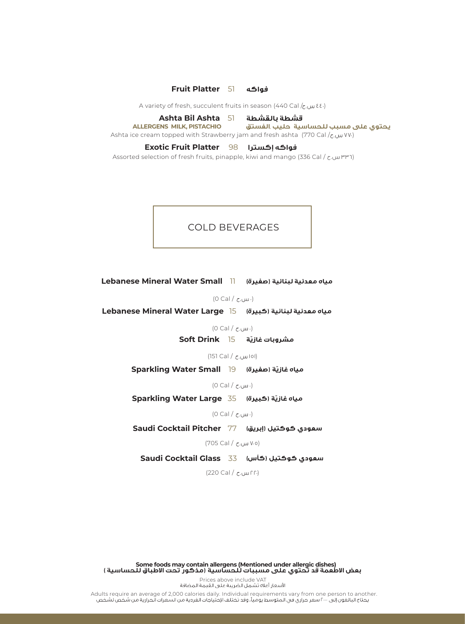## **Fruit Platter** 51

A variety of fresh, succulent fruits in season (440 Cal / $\zeta$ ,  $\omega$ υ εε.)

## **Ashta Bil Ashta** 51

Ashta ice cream topped with Strawberry jam and fresh ashta (770 Cal / $\zeta$  ω VV) **يحتوي على مسبب للحساسية حليب** ,**الفستق PISTACHIO ,MILK ALLERGENS**

## **Exotic Fruit Platter إكسترا فواكه** 98

Assorted selection of fresh fruits, pinapple, kiwi and mango (336 Cal / ح.س ٣٣٦(

## COLD BEVERAGES

**Lebanese Mineral Water Small** 11

(0 Cal / مس.ح)

**Lebanese Mineral Water Large** 15

(0 Cal / مس.ح)

**Soft Drink** 15 **ّ**

(151 Cal / 151)

**Sparkling Water Small** 19 **ّ**

 $(0$  Cal  $/$  c.uu  $\cdot$ )

**Sparkling Water Large** 35 **ّ**

(0 Cal / مس.ح)

**Saudi Cocktail Pitcher** 77

(705 Cal / 705)

**Saudi Cocktail Glass** 33

(220 Cal / 220)

**Some foods may contain allergens (Mentioned under allergic dishes) بعض الاطعمة قد تحتوي على مسببات للحساسية (مذكور تحت الاطباق للحساسية )**

Prices above include VAT<br>الأسعار أعلاه تشمل الضريبة على القيمة المضافة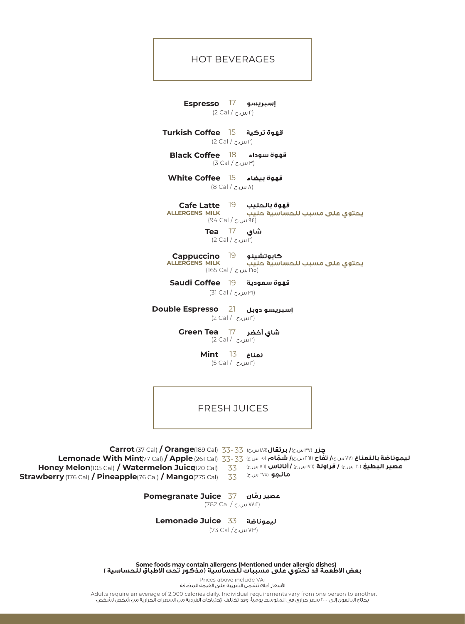## HOT BEVERAGES

**Espresso** 17  $(2$  Cal /  $\epsilon$ . $\omega$ ۲)

**Turkish Coffee** 15 (2 Cal / اس.ح)

**:اء Black Coffee** 18<br>(۳٫ س.خ / 3 Cal قهوة سوداء

**White Coffee** 15 (8 Cal / ٨)

**Cafe Latte** 19

**ALLERGENS MILK** يحتوي على مسبب للحساسية حليب (94 Cal / ٩٤)

> شای **Tea** 17 (اس.ح / 2 Cal)

كابوتشينو **Cappuccino** 19

يحتوي على مسبب للحساسية حليب **ALLERGENS MILK** (165 Cal / ١٦٥)

19 **قهوة سعودية Coffee Saudi**

(31 Cal / ٣١)

**Double Espresso** 21 (2 Cal /  $\mathcal{L}$ ر)

> Green Tea 17 (2 Cal / اس.ح)

> > **Mint** 13 (5 Cal / اس.ح)

FRESH JUICES

**Carrot** (37 Cal) **/ Orange**(189 Cal) 33- 33 (دست) **1417 Carrot** (37 Cal) **/ C Lemonade With Mint** (77 Cal) **/ Apple** (261 Cal) ١٠٥) **ّ** ٢٦١) **ّ** ٧٧) 33-33 H**oney Melon**(105 Cal) **/ Watermelon Juice**(120 Cal) 33 (السيرج) **/ اناناس (١٧٦١) له مع المعدال (1**05 **Strawberry** (176 Cal) **/ Pineapple** (76 Cal) **/ Mango** (275 Cal) 33 **مانجو** (٢٧٥ س.ج)

> **Pomegranate Juice** 37 **ّ** (782 Cal / ٧٨٢)

**Lemonade Juice** 33

(73 Cal / ٧٣)

**Some foods may contain allergens (Mentioned under allergic dishes)**

Prices above include VAT